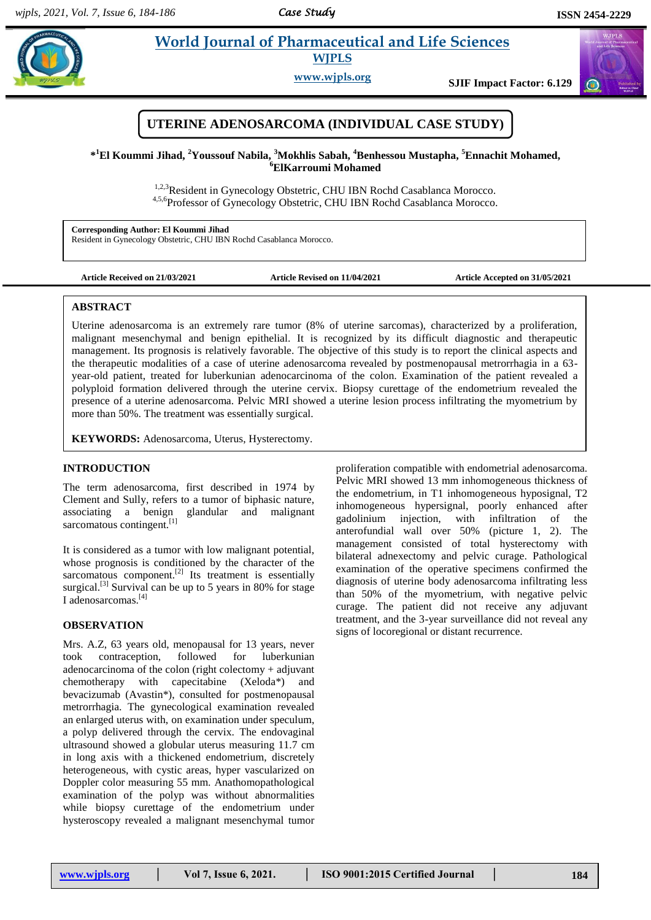## *Case Study*

 $\alpha$ 

# **Paramaceutical and Life Sciences WJPLS**

**www.wjpls.org SJIF Impact Factor: 6.129**



**\* <sup>1</sup>El Koummi Jihad, <sup>2</sup>Youssouf Nabila, <sup>3</sup>Mokhlis Sabah, <sup>4</sup>Benhessou Mustapha, <sup>5</sup>Ennachit Mohamed, <sup>6</sup>ElKarroumi Mohamed**

> <sup>1,2,3</sup>Resident in Gynecology Obstetric, CHU IBN Rochd Casablanca Morocco. 4,5,6Professor of Gynecology Obstetric, CHU IBN Rochd Casablanca Morocco.

**Corresponding Author: El Koummi Jihad** Resident in Gynecology Obstetric, CHU IBN Rochd Casablanca Morocco.

**Article Received on 21/03/2021 Article Revised on 11/04/2021 Article Accepted on 31/05/2021**

## **ABSTRACT**

Uterine adenosarcoma is an extremely rare tumor (8% of uterine sarcomas), characterized by a proliferation, malignant mesenchymal and benign epithelial. It is recognized by its difficult diagnostic and therapeutic management. Its prognosis is relatively favorable. The objective of this study is to report the clinical aspects and the therapeutic modalities of a case of uterine adenosarcoma revealed by postmenopausal metrorrhagia in a 63 year-old patient, treated for luberkunian adenocarcinoma of the colon. Examination of the patient revealed a polyploid formation delivered through the uterine cervix. Biopsy curettage of the endometrium revealed the presence of a uterine adenosarcoma. Pelvic MRI showed a uterine lesion process infiltrating the myometrium by more than 50%. The treatment was essentially surgical.

**KEYWORDS:** Adenosarcoma, Uterus, Hysterectomy.

## **INTRODUCTION**

The term adenosarcoma, first described in 1974 by Clement and Sully, refers to a tumor of biphasic nature, associating a benign glandular and malignant sarcomatous contingent.<sup>[1]</sup>

It is considered as a tumor with low malignant potential, whose prognosis is conditioned by the character of the sarcomatous component. $[2]$  Its treatment is essentially surgical.<sup>[3]</sup> Survival can be up to 5 years in 80% for stage I adenosarcomas.[4]

#### **OBSERVATION**

Mrs. A.Z, 63 years old, menopausal for 13 years, never took contraception, followed for luberkunian adenocarcinoma of the colon (right colectomy + adjuvant chemotherapy with capecitabine (Xeloda\*) and bevacizumab (Avastin\*), consulted for postmenopausal metrorrhagia. The gynecological examination revealed an enlarged uterus with, on examination under speculum, a polyp delivered through the cervix. The endovaginal ultrasound showed a globular uterus measuring 11.7 cm in long axis with a thickened endometrium, discretely heterogeneous, with cystic areas, hyper vascularized on Doppler color measuring 55 mm. Anathomopathological examination of the polyp was without abnormalities while biopsy curettage of the endometrium under hysteroscopy revealed a malignant mesenchymal tumor

proliferation compatible with endometrial adenosarcoma. Pelvic MRI showed 13 mm inhomogeneous thickness of the endometrium, in T1 inhomogeneous hyposignal, T2 inhomogeneous hypersignal, poorly enhanced after gadolinium injection, with infiltration of the anterofundial wall over 50% (picture 1, 2). The management consisted of total hysterectomy with bilateral adnexectomy and pelvic curage. Pathological examination of the operative specimens confirmed the diagnosis of uterine body adenosarcoma infiltrating less than 50% of the myometrium, with negative pelvic curage. The patient did not receive any adjuvant treatment, and the 3-year surveillance did not reveal any signs of locoregional or distant recurrence.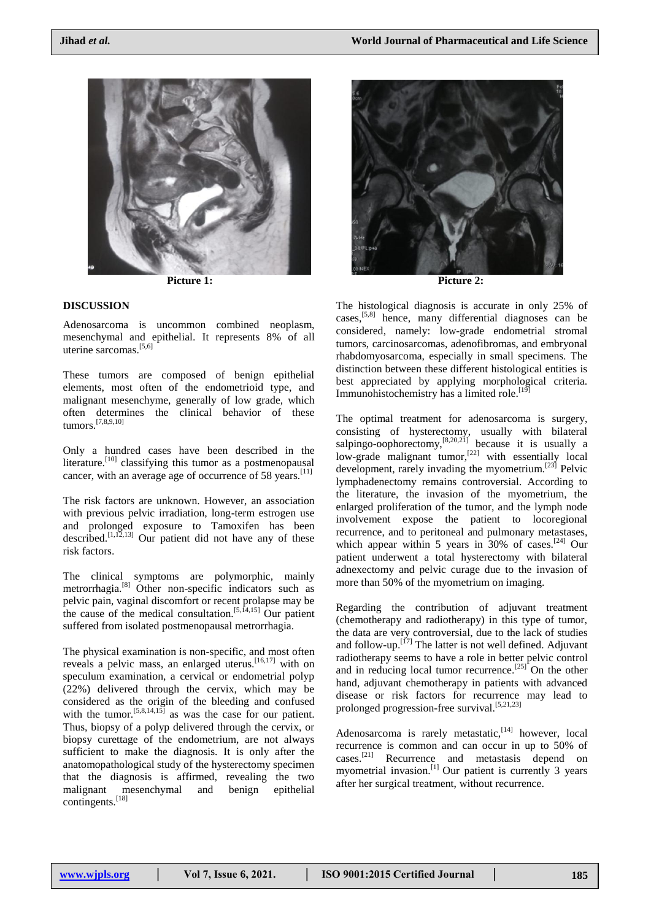

 $\overline{\phantom{a}}$ 

# **DISCUSSION**

Adenosarcoma is uncommon combined neoplasm, mesenchymal and epithelial. It represents 8% of all uterine sarcomas.[5,6]

These tumors are composed of benign epithelial elements, most often of the endometrioid type, and malignant mesenchyme, generally of low grade, which often determines the clinical behavior of these tumors.[7,8,9,10]

Only a hundred cases have been described in the literature.[10] classifying this tumor as a postmenopausal cancer, with an average age of occurrence of 58 years.<sup>[11]</sup>

The risk factors are unknown. However, an association with previous pelvic irradiation, long-term estrogen use and prolonged exposure to Tamoxifen has been described.<sup>[1,12,13]</sup> Our patient did not have any of these risk factors.

The clinical symptoms are polymorphic, mainly metrorrhagia.[8] Other non-specific indicators such as pelvic pain, vaginal discomfort or recent prolapse may be the cause of the medical consultation.<sup>[5,14,15]</sup> Our patient suffered from isolated postmenopausal metrorrhagia.

The physical examination is non-specific, and most often reveals a pelvic mass, an enlarged uterus.[16,17] with on speculum examination, a cervical or endometrial polyp (22%) delivered through the cervix, which may be considered as the origin of the bleeding and confused with the tumor.<sup>[5,8,14,15]</sup> as was the case for our patient. Thus, biopsy of a polyp delivered through the cervix, or biopsy curettage of the endometrium, are not always sufficient to make the diagnosis. It is only after the anatomopathological study of the hysterectomy specimen that the diagnosis is affirmed, revealing the two malignant mesenchymal and benign epithelial contingents.<sup>[18]</sup>



**Picture 1: Picture 2:**

The histological diagnosis is accurate in only 25% of cases,[5,8] hence, many differential diagnoses can be considered, namely: low-grade endometrial stromal tumors, carcinosarcomas, adenofibromas, and embryonal rhabdomyosarcoma, especially in small specimens. The distinction between these different histological entities is best appreciated by applying morphological criteria. Immunohistochemistry has a limited role.<sup>[19]</sup>

The optimal treatment for adenosarcoma is surgery, consisting of hysterectomy, usually with bilateral salpingo-oophorectomy,<sup>[8,20,21]</sup> because it is usually a low-grade malignant tumor,<sup>[22]</sup> with essentially local development, rarely invading the myometrium.[23] Pelvic lymphadenectomy remains controversial. According to the literature, the invasion of the myometrium, the enlarged proliferation of the tumor, and the lymph node involvement expose the patient to locoregional recurrence, and to peritoneal and pulmonary metastases, which appear within 5 years in 30% of cases.<sup>[24]</sup> Our patient underwent a total hysterectomy with bilateral adnexectomy and pelvic curage due to the invasion of more than 50% of the myometrium on imaging.

Regarding the contribution of adjuvant treatment (chemotherapy and radiotherapy) in this type of tumor, the data are very controversial, due to the lack of studies and follow-up. $\left[1^{7}\right]$  The latter is not well defined. Adjuvant radiotherapy seems to have a role in better pelvic control and in reducing local tumor recurrence.<sup>[25]</sup> On the other hand, adjuvant chemotherapy in patients with advanced disease or risk factors for recurrence may lead to prolonged progression-free survival.<sup>[5,21,23]</sup>

Adenosarcoma is rarely metastatic,<sup>[14]</sup> however, local recurrence is common and can occur in up to 50% of cases.[21] Recurrence and metastasis depend on myometrial invasion.<sup>[1]</sup> Our patient is currently 3 years after her surgical treatment, without recurrence.